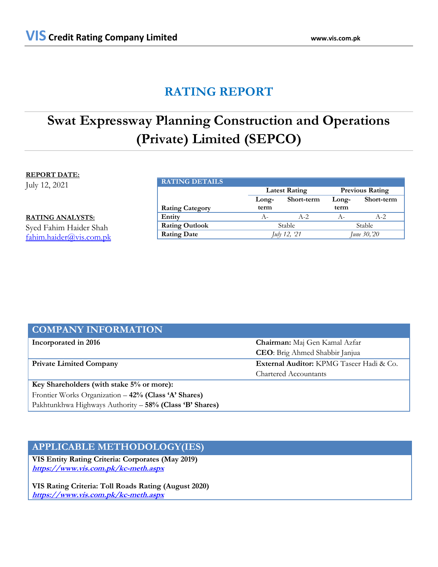# **RATING REPORT**

# **Swat Expressway Planning Construction and Operations (Private) Limited (SEPCO)**

## **REPORT DATE:**

July 12, 2021

**RATING ANALYSTS:**

Syed Fahim Haider Shah [fahim.haider@vis.com.pk](mailto:fahim.haider@vis.com.pk)

| <b>RATING DETAILS</b>  |                      |            |                        |            |
|------------------------|----------------------|------------|------------------------|------------|
|                        | <b>Latest Rating</b> |            | <b>Previous Rating</b> |            |
|                        | Long-                | Short-term | Long-                  | Short-term |
| <b>Rating Category</b> | term                 |            | term                   |            |
| Entity                 | $A -$                | $A-2$      | $A -$                  | $A-2$      |
| <b>Rating Outlook</b>  | Stable               |            | Stable                 |            |
| <b>Rating Date</b>     | July 12, '21         |            | June 30, 20            |            |

| <b>COMPANY INFORMATION</b>                              |                                          |  |
|---------------------------------------------------------|------------------------------------------|--|
| Incorporated in 2016                                    | Chairman: Maj Gen Kamal Azfar            |  |
|                                                         | <b>CEO</b> : Brig Ahmed Shabbir Janjua   |  |
| <b>Private Limited Company</b>                          | External Auditor: KPMG Taseer Hadi & Co. |  |
|                                                         | <b>Chartered Accountants</b>             |  |
| Key Shareholders (with stake 5% or more):               |                                          |  |
| Frontier Works Organization - 42% (Class 'A' Shares)    |                                          |  |
| Pakhtunkhwa Highways Authority - 58% (Class 'B' Shares) |                                          |  |

# **APPLICABLE METHODOLOGY(IES)**

**VIS Entity Rating Criteria: Corporates (May 2019) <https://www.vis.com.pk/kc-meth.aspx>**

**VIS Rating Criteria: Toll Roads Rating (August 2020) <https://www.vis.com.pk/kc-meth.aspx>**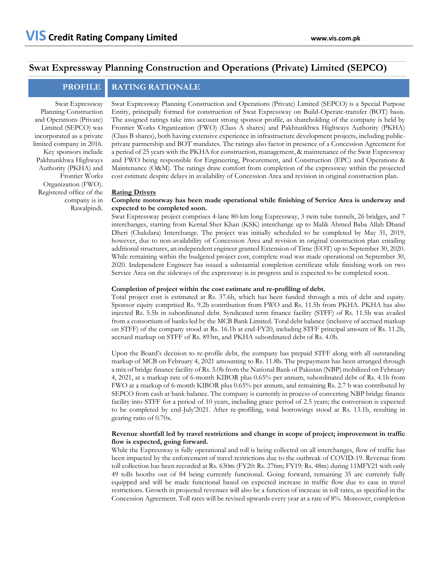# **Swat Expressway Planning Construction and Operations (Private) Limited (SEPCO)**

## **PROFILE RATING RATIONALE**

Swat Expressway Planning Construction and Operations (Private) Limited (SEPCO) was incorporated as a private limited company in 2016. Key sponsors include Pakhtunkhwa Highways Authority (PKHA) and Frontier Works Organization (FWO). Registered office of the company is in Rawalpindi.

Swat Expressway Planning Construction and Operations (Private) Limited (SEPCO) is a Special Purpose Entity, principally formed for construction of Swat Expressway on Build-Operate-transfer (BOT) basis. The assigned ratings take into account strong sponsor profile, as shareholding of the company is held by Frontier Works Organization (FWO) (Class A shares) and Pakhtunkhwa Highways Authority (PKHA) (Class B shares), both having extensive experience in infrastructure development projects, including publicprivate partnership and BOT mandates. The ratings also factor in presence of a Concession Agreement for a period of 25 years with the PKHA for construction, management, & maintenance of the Swat Expressway and FWO being responsible for Engineering, Procurement, and Construction (EPC) and Operations & Maintenance (O&M). The ratings draw comfort from completion of the expressway within the projected cost estimate despite delays in availability of Concession Area and revision in original construction plan.

#### **Rating Drivers**

### **Complete motorway has been made operational while finishing of Service Area is underway and expected to be completed soon.**

Swat Expressway project comprises 4-lane 80-km long Expressway, 3 twin tube tunnels, 26 bridges, and 7 interchanges, starting from Kernal Sher Khan (KSK) interchange up to Malik Ahmed Baba Allah Dhand Dheri (Chakdara) Interchange. The project was initially scheduled to be completed by May 31, 2019, however, due to non-availability of Concession Area and revision in original construction plan entailing additional structures, an independent engineer granted Extension of Time (EOT) up to September 30, 2020. While remaining within the budgeted project cost, complete road was made operational on September 30, 2020. Independent Engineer has issued a substantial completion certificate while finishing work on two Service Area on the sideways of the expressway is in progress and is expected to be completed soon.

#### **Completion of project within the cost estimate and re-profiling of debt.**

Total project cost is estimated at Rs. 37.6b, which has been funded through a mix of debt and equity. Sponsor equity comprised Rs. 9.2b contribution from FWO and Rs. 11.5b from PKHA. PKHA has also injected Rs. 5.5b in subordinated debt. Syndicated term finance facility (STFF) of Rs. 11.5b was availed from a consortium of banks led by the MCB Bank Limited. Total debt balance (inclusive of accrued markup on STFF) of the company stood at Rs. 16.1b at end-FY20, including STFF principal amount of Rs. 11.2b, accrued markup on STFF of Rs. 893m, and PKHA subordinated debt of Rs. 4.0b.

Upon the Board's decision to re-profile debt, the company has prepaid STFF along with all outstanding markup of MCB on February 4, 2021 amounting to Rs. 11.8b. The prepayment has been arranged through a mix of bridge finance facility of Rs. 5.0b from the National Bank of Pakistan (NBP) mobilized on February 4, 2021, at a markup rate of 6-month KIBOR plus 0.65% per annum, subordinated debt of Rs. 4.1b from FWO at a markup of 6-month KIBOR plus 0.65% per annum, and remaining Rs. 2.7 b was contributed by SEPCO from cash at bank balance. The company is currently in process of converting NBP bridge finance facility into STFF for a period of 10 years, including grace period of 2.5 years; the conversion is expected to be completed by end-July'2021. After re-profiling, total borrowings stood at Rs. 13.1b, resulting in gearing ratio of 0.70x.

### **Revenue shortfall led by travel restrictions and change in scope of project; improvement in traffic flow is expected, going forward.**

While the Expressway is fully operational and toll is being collected on all interchanges, flow of traffic has been impacted by the enforcement of travel restrictions due to the outbreak of COVID-19. Revenue from toll collection has been recorded at Rs. 630m (FY20: Rs. 276m; FY19: Rs. 48m) during 11MFY21 with only 49 tolls booths out of 84 being currently functional. Going forward, remaining 35 are currently fully equipped and will be made functional based on expected increase in traffic flow due to ease in travel restrictions. Growth in projected revenues will also be a function of increase in toll rates, as specified in the Concession Agreement. Toll rates will be revised upwards every year at a rate of 8%. Moreover, completion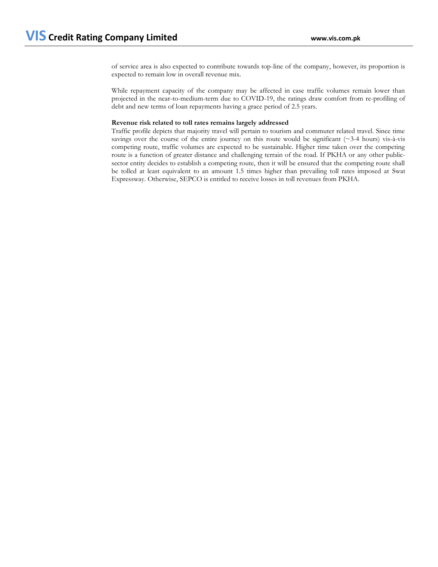of service area is also expected to contribute towards top-line of the company, however, its proportion is expected to remain low in overall revenue mix.

While repayment capacity of the company may be affected in case traffic volumes remain lower than projected in the near-to-medium-term due to COVID-19, the ratings draw comfort from re-profiling of debt and new terms of loan repayments having a grace period of 2.5 years.

### **Revenue risk related to toll rates remains largely addressed**

Traffic profile depicts that majority travel will pertain to tourism and commuter related travel. Since time savings over the course of the entire journey on this route would be significant ( $\sim$ 3-4 hours) vis-à-vis competing route, traffic volumes are expected to be sustainable. Higher time taken over the competing route is a function of greater distance and challenging terrain of the road. If PKHA or any other publicsector entity decides to establish a competing route, then it will be ensured that the competing route shall be tolled at least equivalent to an amount 1.5 times higher than prevailing toll rates imposed at Swat Expressway. Otherwise, SEPCO is entitled to receive losses in toll revenues from PKHA.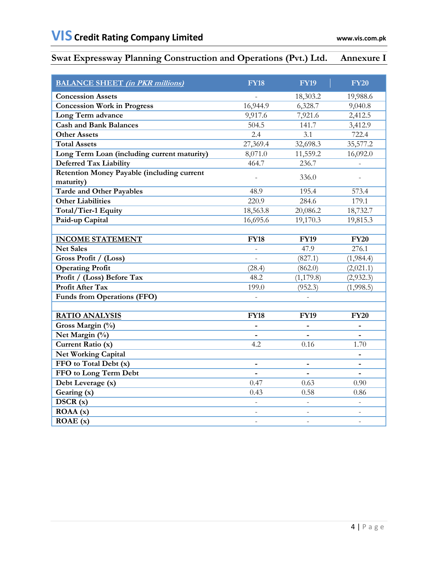# **Swat Expressway Planning Construction and Operations (Pvt.) Ltd. Annexure I**

| <b>BALANCE SHEET</b> (in PKR millions)            | <b>FY18</b>    | <b>FY19</b>    | <b>FY20</b>              |
|---------------------------------------------------|----------------|----------------|--------------------------|
| <b>Concession Assets</b>                          |                | 18,303.2       | 19,988.6                 |
| <b>Concession Work in Progress</b>                | 16,944.9       | 6,328.7        | 9,040.8                  |
| Long Term advance                                 | 9,917.6        | 7,921.6        | 2,412.5                  |
| <b>Cash and Bank Balances</b>                     | 504.5          | 141.7          | 3,412.9                  |
| <b>Other Assets</b>                               | 2.4            | 3.1            | 722.4                    |
| <b>Total Assets</b>                               | 27,369.4       | 32,698.3       | 35,577.2                 |
| Long Term Loan (including current maturity)       | 8,071.0        | 11,559.2       | 16,092.0                 |
| Deferred Tax Liability                            | 464.7          | 236.7          |                          |
| <b>Retention Money Payable (including current</b> |                | 336.0          |                          |
| maturity)                                         |                |                |                          |
| <b>Tarde and Other Payables</b>                   | 48.9           | 195.4          | 573.4                    |
| <b>Other Liabilities</b>                          | 220.9          | 284.6          | 179.1                    |
| Total/Tier-1 Equity                               | 18,563.8       | 20,086.2       | 18,732.7                 |
| Paid-up Capital                                   | 16,695.6       | 19,170.3       | 19,815.3                 |
|                                                   | <b>FY18</b>    | <b>FY19</b>    | <b>FY20</b>              |
| <b>INCOME STATEMENT</b><br><b>Net Sales</b>       |                | 47.9           | 276.1                    |
| Gross Profit / (Loss)                             |                | (827.1)        | (1,984.4)                |
| <b>Operating Profit</b>                           | (28.4)         | (862.0)        | (2,021.1)                |
| Profit / (Loss) Before Tax                        | 48.2           | (1, 179.8)     | (2,932.3)                |
| <b>Profit After Tax</b>                           | 199.0          | (952.3)        | (1,998.5)                |
| <b>Funds from Operations (FFO)</b>                |                |                |                          |
|                                                   |                |                |                          |
| <b>RATIO ANALYSIS</b>                             | <b>FY18</b>    | <b>FY19</b>    | <b>FY20</b>              |
| Gross Margin (%)                                  |                |                |                          |
| Net Margin (%)                                    |                |                |                          |
| Current Ratio (x)                                 | 4.2            | 0.16           | 1.70                     |
| <b>Net Working Capital</b>                        |                |                |                          |
| FFO to Total Debt (x)                             |                |                | $\overline{\phantom{0}}$ |
| FFO to Long Term Debt                             |                |                |                          |
| Debt Leverage (x)                                 | 0.47           | 0.63           | 0.90                     |
| Gearing (x)                                       | 0.43           | 0.58           | 0.86                     |
| DSCR(x)                                           |                |                |                          |
| $\overline{ROAA}(x)$                              |                |                |                          |
| $\overline{ROAE}$ (x)                             | $\overline{a}$ | $\overline{a}$ | $\overline{a}$           |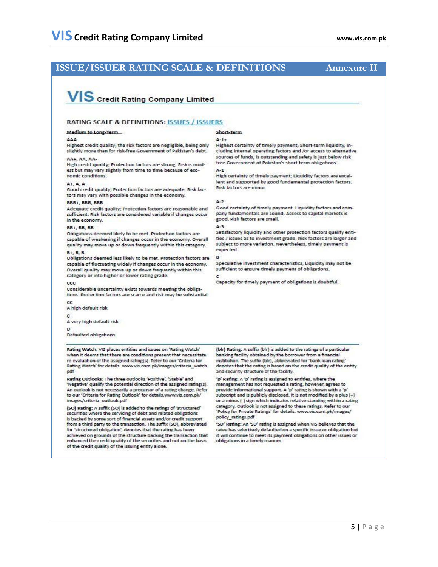### **ISSUE/ISSUER RATING SCALE & DEFINITIONS**

### **Annexure II**

# VIS Credit Rating Company Limited

#### **RATING SCALE & DEFINITIONS: ISSUES / ISSUERS**

#### Medium to Long-Term

#### AAA

Highest credit quality; the risk factors are negligible, being only slightly more than for risk-free Government of Pakistan's debt.

AA+, AA, AA-High credit quality; Protection factors are strong. Risk is modest but may vary slightly from time to time because of economic conditions.

#### $\Delta + \Delta \Delta$

Good credit quality; Protection factors are adequate. Risk factors may vary with possible changes in the economy.

#### **BBB+, BBB, BBB-**

Adequate credit quality; Protection factors are reasonable and sufficient. Risk factors are considered variable if changes occur in the economy.

#### **BB+ BB BB-**

Obligations deemed likely to be met. Protection factors are capable of weakening if changes occur in the economy. Overall quality may move up or down frequently within this category.

#### B+, B, B-

Obligations deemed less likely to be met. Protection factors are capable of fluctuating widely if changes occur in the economy. Overall quality may move up or down frequently within this category or into higher or lower rating grade.

#### $ccc$

Considerable uncertainty exists towards meeting the obligations. Protection factors are scarce and risk may be substantial.

#### A high default risk

C

A very high default risk

D

Defaulted obligations

Rating Watch: VIS places entities and issues on 'Rating Watch' when it deems that there are conditions present that necessitate re-evaluation of the assigned rating(s). Refer to our 'Criteria for Rating Watch' for details. www.vis.com.pk/images/criteria\_watch. pdf

Rating Outlooks: The three outlooks 'Positive', 'Stable' and 'Negative' qualify the potential direction of the assigned rating(s). An outlook is not necessarily a precursor of a rating change. Refer to our 'Criteria for Rating Outlook' for details.www.vis.com.pk/ images/criteria\_outlook.pdf

(SO) Rating: A suffix (SO) is added to the ratings of 'structured' securities where the servicing of debt and related obligations is backed by some sort of financial assets and/or credit support from a third party to the transaction. The suffix (SO), abbreviated for 'structured obligation', denotes that the rating has been achieved on grounds of the structure backing the transaction that enhanced the credit quality of the securities and not on the basis of the credit quality of the issuing entity alone.

#### Short-Term

Highest certainty of timely payment; Short-term liquidity, including internal operating factors and /or access to alternative sources of funds, is outstanding and safety is just below risk free Government of Pakistan's short-term obligations.

 $A-1$ 

 $A-1+$ 

High certainty of timely payment; Liquidity factors are excellent and supported by good fundamental protection factors. **Risk factors are minor.** 

#### $A-2$

Good certainty of timely payment. Liquidity factors and company fundamentals are sound. Access to capital markets is good. Risk factors are small.

#### $A-3$

Satisfactory liquidity and other protection factors qualify entities / issues as to investment grade. Risk factors are larger and subject to more variation. Nevertheless, timely payment is expected.

#### B

Speculative investment characteristics: Liquidity may not be sufficient to ensure timely payment of obligations. c

Capacity for timely payment of obligations is doubtful.

(blr) Rating: A suffix (blr) is added to the ratings of a particular banking facility obtained by the borrower from a financial institution. The suffix (bir), abbreviated for 'bank loan rating denotes that the rating is based on the credit quality of the entity and security structure of the facility.

'p' Rating: A 'p' rating is assigned to entities, where the management has not requested a rating, however, agrees to provide informational support. A 'p' rating is shown with a 'p' subscript and is publicly disclosed. It is not modified by a plus (+) or a minus (-) sign which indicates relative standing within a rating category. Outlook is not assigned to these ratings. Refer to our 'Policy for Private Ratings' for details. www.vis.com.pk/images/ policy\_ratings.pdf

'SD' Rating: An 'SD' rating is assigned when VIS believes that the ratee has selectively defaulted on a specific issue or obligation but it will continue to meet its payment obligations on other issues or obligations in a timely manner.